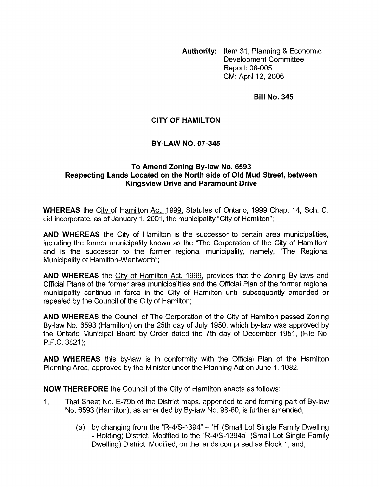**Authority:** Item 31, Planning & Economic Development Committee Report: 06-005 CM: April 12, 2006

**Bill No. 345** 

# **CITY OF HAMILTON**

### **BY-LAW NO. 07-345**

## **To Amend Zoning By-law No. 6593 Respecting Lands Located on the North side of Old Mud Street, between Kingsview Drive and Paramount Drive**

**WHEREAS** the Citv of Hamilton Act, 1999, Statutes of Ontario, 1999 Chap. 14, Sch. C. did incorporate, as of January 1, 2001, the municipality "City of Hamilton";

**AND WHEREAS** the City of Hamilton is the successor to certain area municipalities, including the former municipality known as the "The Corporation of the City of Hamilton" and is the successor to the former regional municipality, namely, "The Regional Municipality of Hamilton-Wentworth";

**AND WHEREAS** the City of Hamilton Act, 1999, provides that the Zoning By-laws and Official Plans of the former area municipalities and the Official Plan of the former regional municipality continue in force in the City of Hamilton until subsequently amended or repealed by the Council of the City of Hamilton;

**AND WHEREAS** the Council of The Corporation of the City of Hamilton passed Zoning By-law No. 6593 (Hamilton) on the 25th day of July 1950, which by-law was approved by the Ontario Municipal Board by Order dated the 7th day of December 1951, (File No. P.F.C. 3821);

**AND WHEREAS** this by-law is in conformity with the Official Plan of the Hamilton Planning Area, approved by the Minister under the Planning Act on June 1, 1982.

**NOW THEREFORE** the Council of the City of Hamilton enacts as follows:

- 1. That Sheet No. E-79b of the District maps, appended to and forming part of By-law No. 6593 (Hamilton), as amended by By-law No. 98-60, is further amended,
	- (a) by changing from the "R-4/S-1394"  $-$  'H' (Small Lot Single Family Dwelling - Holding) District, Modified to the "R-4/S-I394a" (Small Lot Single Family Dwelling) District, Modified, on the lands comprised as Block 1; and,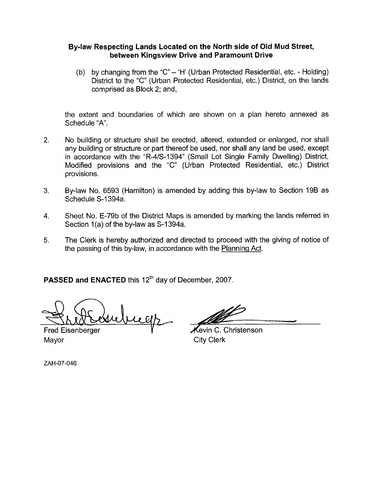### **Bylaw Respecting Lands Located on the North side of Old Mud Street, between Kingsview Drive and Paramount Drive**

(b) by changing from the "C" - 'H' (Urban Protected Residential, etc. - Holding) District to the "C" (Urban Protected Residential, etc.) District, on the lands comprised as Block 2; and,

the extent and boundaries of which are shown on a plan hereto annexed as Schedule "A".

- 2. No building or structure shall be erected, altered, extended or enlarged, nor shall any building or structure or part thereof be used, nor shall any land be used, except in accordance with the "R-4/S-1394" (Small Lot Single Family Dwelling) District, Modified provisions and the "C" (Urban Protected Residential, etc.) District provisions.
- **3.**  By-law No. 6593 (Hamilton) is amended by adding this by-law to Section 19B as Schedule S-I 394a.
- 4. Sheet No. E-79b of the District Maps is amended by marking the lands referred in Section 1(a) of the by-law as S-1394a.
- **5.**  The Clerk is hereby authorized and directed to proceed with the giving of notice of the passing of this by-law, in accordance with the Planning Act.

**PASSED and ENACTED** this 12<sup>th</sup> day of December, 2007.

welk

Mayor **City Clerk** 

Fred Eisenberger V Vevin C. Christenson

ZAH-07-046